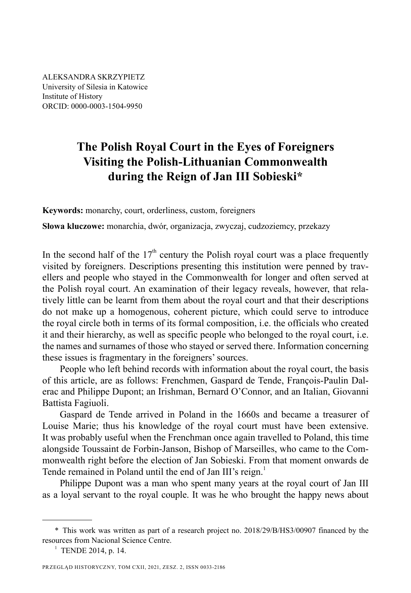ALEKSANDRA SKRZYPIETZ University of Silesia in Katowice Institute of History ORCID: 0000-0003-1504-9950

## **The Polish Royal Court in the Eyes of Foreigners Visiting the Polish-Lithuanian Commonwealth during the Reign of Jan III Sobieski\***

**Keywords:** monarchy, court, orderliness, custom, foreigners

**Słowa kluczowe:** monarchia, dwór, organizacja, zwyczaj, cudzoziemcy, przekazy

In the second half of the  $17<sup>th</sup>$  century the Polish royal court was a place frequently visited by foreigners. Descriptions presenting this institution were penned by travellers and people who stayed in the Commonwealth for longer and often served at the Polish royal court. An examination of their legacy reveals, however, that relatively little can be learnt from them about the royal court and that their descriptions do not make up a homogenous, coherent picture, which could serve to introduce the royal circle both in terms of its formal composition, i.e. the officials who created it and their hierarchy, as well as specific people who belonged to the royal court, i.e. the names and surnames of those who stayed or served there. Information concerning these issues is fragmentary in the foreigners' sources.

People who left behind records with information about the royal court, the basis of this article, are as follows: Frenchmen, Gaspard de Tende, François-Paulin Dalerac and Philippe Dupont; an Irishman, Bernard O'Connor, and an Italian, Giovanni Battista Fagiuoli.

Gaspard de Tende arrived in Poland in the 1660s and became a treasurer of Louise Marie; thus his knowledge of the royal court must have been extensive. It was probably useful when the Frenchman once again travelled to Poland, this time alongside Toussaint de Forbin-Janson, Bishop of Marseilles, who came to the Commonwealth right before the election of Jan Sobieski. From that moment onwards de Tende remained in Poland until the end of Jan III's reign.<sup>1</sup>

Philippe Dupont was a man who spent many years at the royal court of Jan III as a loyal servant to the royal couple. It was he who brought the happy news about

<sup>\*</sup> This work was written as part of a research project no. 2018/29/B/HS3/00907 financed by the resources from Nacional Science Centre.

<sup>&</sup>lt;sup>1</sup> TENDE 2014, p. 14.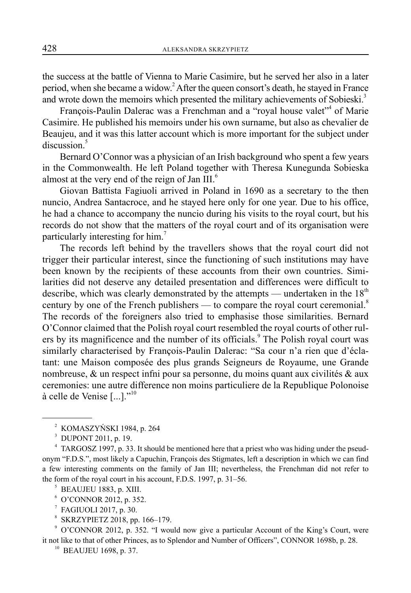the success at the battle of Vienna to Marie Casimire, but he served her also in a later period, when she became a widow.<sup>2</sup> After the queen consort's death, he stayed in France and wrote down the memoirs which presented the military achievements of Sobieski.<sup>3</sup>

François-Paulin Dalerac was a Frenchman and a "royal house valet"<sup>4</sup> of Marie Casimire. He published his memoirs under his own surname, but also as chevalier de Beaujeu, and it was this latter account which is more important for the subject under discussion.<sup>5</sup>

Bernard O'Connor was a physician of an Irish background who spent a few years in the Commonwealth. He left Poland together with Theresa Kunegunda Sobieska almost at the very end of the reign of Jan  $III.^6$ 

Giovan Battista Fagiuoli arrived in Poland in 1690 as a secretary to the then nuncio, Andrea Santacroce, and he stayed here only for one year. Due to his office, he had a chance to accompany the nuncio during his visits to the royal court, but his records do not show that the matters of the royal court and of its organisation were particularly interesting for him.<sup>7</sup>

The records left behind by the travellers shows that the royal court did not trigger their particular interest, since the functioning of such institutions may have been known by the recipients of these accounts from their own countries. Similarities did not deserve any detailed presentation and differences were difficult to describe, which was clearly demonstrated by the attempts — undertaken in the  $18<sup>th</sup>$ century by one of the French publishers — to compare the royal court ceremonial.<sup>8</sup> The records of the foreigners also tried to emphasise those similarities. Bernard O'Connor claimed that the Polish royal court resembled the royal courts of other rulers by its magnificence and the number of its officials.<sup>9</sup> The Polish royal court was similarly characterised by François-Paulin Dalerac: "Sa cour n'a rien que d'éclatant: une Maison composée des plus grands Seigneurs de Royaume, une Grande nombreuse, & un respect infni pour sa personne, du moins quant aux civilités & aux ceremonies: une autre difference non moins particuliere de la Republique Polonoise à celle de Venise  $[\dots]$ ."<sup>10</sup>

- 6 O'CONNOR 2012, p. 352.
- 7 FAGIUOLI 2017, p. 30.
- 8 SKRZYPIETZ 2018, pp. 166–179.

9 O'CONNOR 2012, p. 352. "I would now give a particular Account of the King's Court, were it not like to that of other Princes, as to Splendor and Number of Officers", CONNOR 1698b, p. 28.

<sup>10</sup> BEAUJEU 1698, p. 37.

<sup>2</sup> KOMASZYŃSKI 1984, p. 264

<sup>3</sup> DUPONT 2011, p. 19.

<sup>4</sup> TARGOSZ 1997, p. 33. It should be mentioned here that a priest who was hiding under the pseudonym "F.D.S.", most likely a Capuchin, François des Stigmates, left a description in which we can find a few interesting comments on the family of Jan III; nevertheless, the Frenchman did not refer to the form of the royal court in his account, F.D.S. 1997, p. 31–56.

<sup>5</sup> BEAUJEU 1883, p. XIII.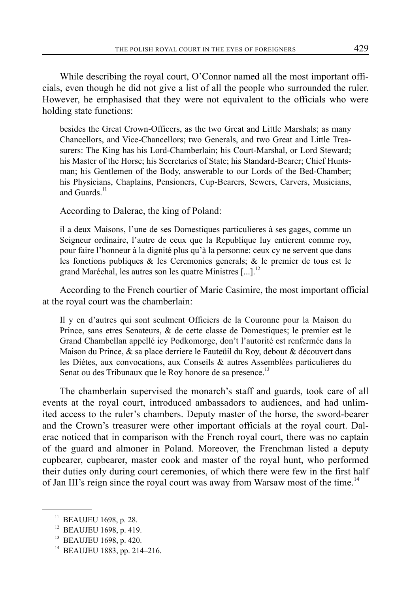While describing the royal court, O'Connor named all the most important officials, even though he did not give a list of all the people who surrounded the ruler. However, he emphasised that they were not equivalent to the officials who were holding state functions:

besides the Great Crown-Officers, as the two Great and Little Marshals; as many Chancellors, and Vice-Chancellors; two Generals, and two Great and Little Treasurers: The King has his Lord-Chamberlain; his Court-Marshal, or Lord Steward; his Master of the Horse; his Secretaries of State; his Standard-Bearer; Chief Huntsman; his Gentlemen of the Body, answerable to our Lords of the Bed-Chamber; his Physicians, Chaplains, Pensioners, Cup-Bearers, Sewers, Carvers, Musicians, and Guards. $^{11}$ 

According to Dalerac, the king of Poland:

il a deux Maisons, l'une de ses Domestiques particulieres à ses gages, comme un Seigneur ordinaire, l'autre de ceux que la Republique luy entierent comme roy, pour faire l'honneur à la dignité plus qu'à la personne: ceux cy ne servent que dans les fonctions publiques & les Ceremonies generals; & le premier de tous est le grand Maréchal, les autres son les quatre Ministres [...].<sup>12</sup>

According to the French courtier of Marie Casimire, the most important official at the royal court was the chamberlain:

Il y en d'autres qui sont seulment Officiers de la Couronne pour la Maison du Prince, sans etres Senateurs, & de cette classe de Domestiques; le premier est le Grand Chambellan appellé icy Podkomorge, don't l'autorité est renfermée dans la Maison du Prince, & sa place derriere le Fauteüil du Roy, debout & découvert dans les Diétes, aux convocations, aux Conseils & autres Assemblées particulieres du Senat ou des Tribunaux que le Roy honore de sa presence.<sup>13</sup>

The chamberlain supervised the monarch's staff and guards, took care of all events at the royal court, introduced ambassadors to audiences, and had unlimited access to the ruler's chambers. Deputy master of the horse, the sword-bearer and the Crown's treasurer were other important officials at the royal court. Dalerac noticed that in comparison with the French royal court, there was no captain of the guard and almoner in Poland. Moreover, the Frenchman listed a deputy cupbearer, cupbearer, master cook and master of the royal hunt, who performed their duties only during court ceremonies, of which there were few in the first half of Jan III's reign since the royal court was away from Warsaw most of the time.<sup>14</sup>

<sup>&</sup>lt;sup>11</sup> BEAUJEU 1698, p. 28.

<sup>&</sup>lt;sup>12</sup> BEAUJEU 1698, p. 419.

<sup>&</sup>lt;sup>13</sup> BEAUJEU 1698, p. 420.

<sup>14</sup> BEAUJEU 1883, pp. 214–216.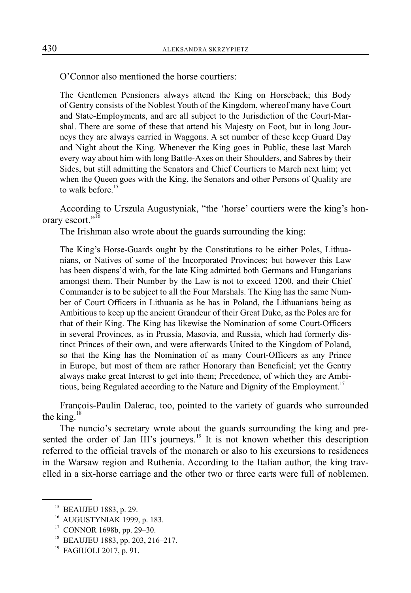O'Connor also mentioned the horse courtiers:

The Gentlemen Pensioners always attend the King on Horseback; this Body of Gentry consists of the Noblest Youth of the Kingdom, whereof many have Court and State-Employments, and are all subject to the Jurisdiction of the Court-Marshal. There are some of these that attend his Majesty on Foot, but in long Journeys they are always carried in Waggons. A set number of these keep Guard Day and Night about the King. Whenever the King goes in Public, these last March every way about him with long Battle-Axes on their Shoulders, and Sabres by their Sides, but still admitting the Senators and Chief Courtiers to March next him; yet when the Queen goes with the King, the Senators and other Persons of Quality are to walk before<sup>15</sup>

According to Urszula Augustyniak, "the 'horse' courtiers were the king's honorary escort."<sup>16</sup>

The Irishman also wrote about the guards surrounding the king:

The King's Horse-Guards ought by the Constitutions to be either Poles, Lithuanians, or Natives of some of the Incorporated Provinces; but however this Law has been dispens'd with, for the late King admitted both Germans and Hungarians amongst them. Their Number by the Law is not to exceed 1200, and their Chief Commander is to be subject to all the Four Marshals. The King has the same Number of Court Officers in Lithuania as he has in Poland, the Lithuanians being as Ambitious to keep up the ancient Grandeur of their Great Duke, as the Poles are for that of their King. The King has likewise the Nomination of some Court-Officers in several Provinces, as in Prussia, Masovia, and Russia, which had formerly distinct Princes of their own, and were afterwards United to the Kingdom of Poland, so that the King has the Nomination of as many Court-Officers as any Prince in Europe, but most of them are rather Honorary than Beneficial; yet the Gentry always make great Interest to get into them; Precedence, of which they are Ambitious, being Regulated according to the Nature and Dignity of the Employment.<sup>17</sup>

François-Paulin Dalerac, too, pointed to the variety of guards who surrounded the king. $18$ 

The nuncio's secretary wrote about the guards surrounding the king and presented the order of Jan III's journeys.<sup>19</sup> It is not known whether this description referred to the official travels of the monarch or also to his excursions to residences in the Warsaw region and Ruthenia. According to the Italian author, the king travelled in a six-horse carriage and the other two or three carts were full of noblemen.

17 CONNOR 1698b, pp. 29–30.

<sup>&</sup>lt;sup>15</sup> BEAUJEU 1883, p. 29.

<sup>&</sup>lt;sup>16</sup> AUGUSTYNIAK 1999, p. 183.

<sup>18</sup> BEAUJEU 1883, pp. 203, 216–217.

<sup>&</sup>lt;sup>19</sup> FAGIUOLI 2017, p. 91.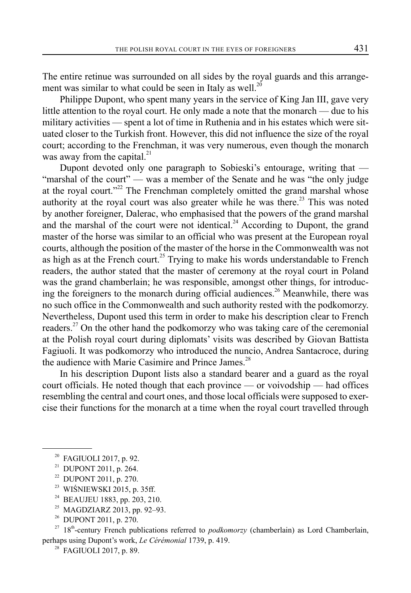The entire retinue was surrounded on all sides by the royal guards and this arrangement was similar to what could be seen in Italy as well.<sup>20</sup>

Philippe Dupont, who spent many years in the service of King Jan III, gave very little attention to the royal court. He only made a note that the monarch — due to his military activities — spent a lot of time in Ruthenia and in his estates which were situated closer to the Turkish front. However, this did not influence the size of the royal court; according to the Frenchman, it was very numerous, even though the monarch was away from the capital. $^{21}$ 

Dupont devoted only one paragraph to Sobieski's entourage, writing that — "marshal of the court" — was a member of the Senate and he was "the only judge at the royal court."<sup>22</sup> The Frenchman completely omitted the grand marshal whose authority at the royal court was also greater while he was there.<sup>23</sup> This was noted by another foreigner, Dalerac, who emphasised that the powers of the grand marshal and the marshal of the court were not identical.<sup>24</sup> According to Dupont, the grand master of the horse was similar to an official who was present at the European royal courts, although the position of the master of the horse in the Commonwealth was not as high as at the French court.<sup>25</sup> Trying to make his words understandable to French readers, the author stated that the master of ceremony at the royal court in Poland was the grand chamberlain; he was responsible, amongst other things, for introducing the foreigners to the monarch during official audiences.<sup>26</sup> Meanwhile, there was no such office in the Commonwealth and such authority rested with the podkomorzy. Nevertheless, Dupont used this term in order to make his description clear to French readers.<sup>27</sup> On the other hand the podkomorzy who was taking care of the ceremonial at the Polish royal court during diplomats' visits was described by Giovan Battista Fagiuoli. It was podkomorzy who introduced the nuncio, Andrea Santacroce, during the audience with Marie Casimire and Prince James.<sup>28</sup>

In his description Dupont lists also a standard bearer and a guard as the royal court officials. He noted though that each province — or voivodship — had offices resembling the central and court ones, and those local officials were supposed to exercise their functions for the monarch at a time when the royal court travelled through

- 21 DUPONT 2011, p. 264.
- 22 DUPONT 2011, p. 270.
- <sup>23</sup> WIŚNIEWSKI 2015, p. 35ff.
- 24 BEAUJEU 1883, pp. 203, 210.
- <sup>25</sup> MAGDZIARZ 2013, pp. 92–93.<br><sup>26</sup> DUPONT 2011, p. 270.
- 26 DUPONT 2011, p. 270.

<sup>&</sup>lt;sup>20</sup> FAGIUOLI 2017, p. 92.

<sup>&</sup>lt;sup>27</sup> 18<sup>th</sup>-century French publications referred to *podkomorzy* (chamberlain) as Lord Chamberlain, perhaps using Dupont's work, *Le Cérémonial* 1739, p. 419.

<sup>&</sup>lt;sup>28</sup> FAGIUOLI 2017, p. 89.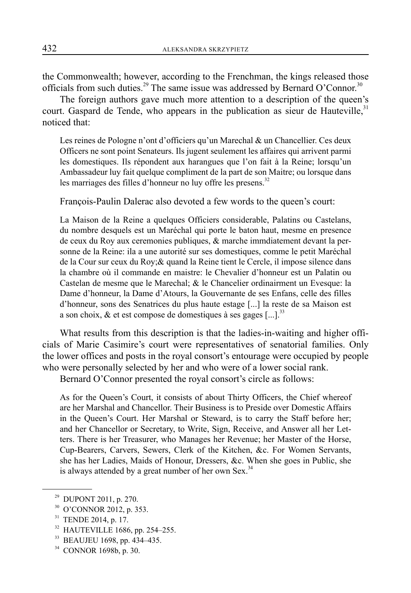the Commonwealth; however, according to the Frenchman, the kings released those officials from such duties.<sup>29</sup> The same issue was addressed by Bernard O'Connor.<sup>30</sup>

The foreign authors gave much more attention to a description of the queen's court. Gaspard de Tende, who appears in the publication as sieur de Hauteville, $31$ noticed that:

Les reines de Pologne n'ont d'officiers qu'un Marechal & un Chancellier. Ces deux Officers ne sont point Senateurs. Ils jugent seulement les affaires qui arrivent parmi les domestiques. Ils répondent aux harangues que l'on fait à la Reine; lorsqu'un Ambassadeur luy fait quelque compliment de la part de son Maitre; ou lorsque dans les marriages des filles d'honneur no luy offre les presens.<sup>32</sup>

François-Paulin Dalerac also devoted a few words to the queen's court:

La Maison de la Reine a quelques Officiers considerable, Palatins ou Castelans, du nombre desquels est un Maréchal qui porte le baton haut, mesme en presence de ceux du Roy aux ceremonies publiques, & marche immdiatement devant la personne de la Reine: ila a une autorité sur ses domestiques, comme le petit Maréchal de la Cour sur ceux du Roy;& quand la Reine tient le Cercle, il impose silence dans la chambre où il commande en maistre: le Chevalier d'honneur est un Palatin ou Castelan de mesme que le Marechal; & le Chancelier ordinairment un Evesque: la Dame d'honneur, la Dame d'Atours, la Gouvernante de ses Enfans, celle des filles d'honneur, sons des Senatrices du plus haute estage [...] la reste de sa Maison est a son choix, & et est compose de domestiques à ses gages  $[...]$ <sup>33</sup>

What results from this description is that the ladies-in-waiting and higher officials of Marie Casimire's court were representatives of senatorial families. Only the lower offices and posts in the royal consort's entourage were occupied by people who were personally selected by her and who were of a lower social rank.

Bernard O'Connor presented the royal consort's circle as follows:

As for the Queen's Court, it consists of about Thirty Officers, the Chief whereof are her Marshal and Chancellor. Their Business is to Preside over Domestic Affairs in the Queen's Court. Her Marshal or Steward, is to carry the Staff before her; and her Chancellor or Secretary, to Write, Sign, Receive, and Answer all her Letters. There is her Treasurer, who Manages her Revenue; her Master of the Horse, Cup-Bearers, Carvers, Sewers, Clerk of the Kitchen, &c. For Women Servants, she has her Ladies, Maids of Honour, Dressers, &c. When she goes in Public, she is always attended by a great number of her own Sex. $34$ 

- 30 O'CONNOR 2012, p. 353.
- <sup>31</sup> TENDE 2014, p. 17.
- 32 HAUTEVILLE 1686, pp. 254–255.
- 33 BEAUJEU 1698, pp. 434–435.
- 34 CONNOR 1698b, p. 30.

<sup>29</sup> DUPONT 2011, p. 270.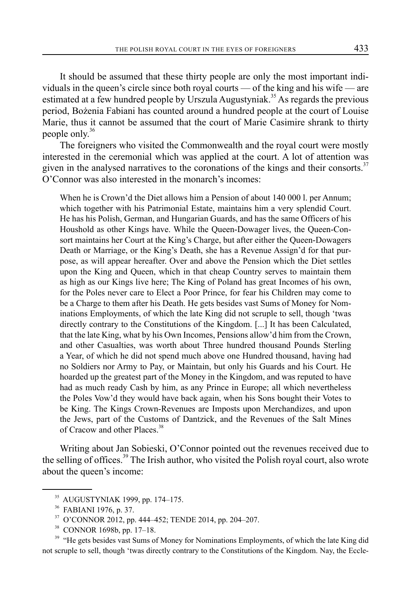It should be assumed that these thirty people are only the most important individuals in the queen's circle since both royal courts — of the king and his wife — are estimated at a few hundred people by Urszula Augustyniak.<sup>35</sup> As regards the previous period, Bożenia Fabiani has counted around a hundred people at the court of Louise Marie, thus it cannot be assumed that the court of Marie Casimire shrank to thirty people only.36

The foreigners who visited the Commonwealth and the royal court were mostly interested in the ceremonial which was applied at the court. A lot of attention was given in the analysed narratives to the coronations of the kings and their consorts.<sup>37</sup> O'Connor was also interested in the monarch's incomes:

When he is Crown'd the Diet allows him a Pension of about 140 000 l. per Annum; which together with his Patrimonial Estate, maintains him a very splendid Court. He has his Polish, German, and Hungarian Guards, and has the same Officers of his Houshold as other Kings have. While the Queen-Dowager lives, the Queen-Consort maintains her Court at the King's Charge, but after either the Queen-Dowagers Death or Marriage, or the King's Death, she has a Revenue Assign'd for that purpose, as will appear hereafter. Over and above the Pension which the Diet settles upon the King and Queen, which in that cheap Country serves to maintain them as high as our Kings live here; The King of Poland has great Incomes of his own, for the Poles never care to Elect a Poor Prince, for fear his Children may come to be a Charge to them after his Death. He gets besides vast Sums of Money for Nominations Employments, of which the late King did not scruple to sell, though 'twas directly contrary to the Constitutions of the Kingdom. [...] It has been Calculated, that the late King, what by his Own Incomes, Pensions allow'd him from the Crown, and other Casualties, was worth about Three hundred thousand Pounds Sterling a Year, of which he did not spend much above one Hundred thousand, having had no Soldiers nor Army to Pay, or Maintain, but only his Guards and his Court. He hoarded up the greatest part of the Money in the Kingdom, and was reputed to have had as much ready Cash by him, as any Prince in Europe; all which nevertheless the Poles Vow'd they would have back again, when his Sons bought their Votes to be King. The Kings Crown-Revenues are Imposts upon Merchandizes, and upon the Jews, part of the Customs of Dantzick, and the Revenues of the Salt Mines of Cracow and other Places.<sup>38</sup>

Writing about Jan Sobieski, O'Connor pointed out the revenues received due to the selling of offices.<sup>39</sup> The Irish author, who visited the Polish royal court, also wrote about the queen's income:

<sup>38</sup> CONNOR 1698b, pp. 17–18.<br><sup>39</sup> "He gets besides vast Sums of Money for Nominations Employments, of which the late King did not scruple to sell, though 'twas directly contrary to the Constitutions of the Kingdom. Nay, the Eccle-

<sup>35</sup> AUGUSTYNIAK 1999, pp. 174–175.

<sup>36</sup> FABIANI 1976, p. 37.

<sup>37</sup> O'CONNOR 2012, pp. 444–452; TENDE 2014, pp. 204–207.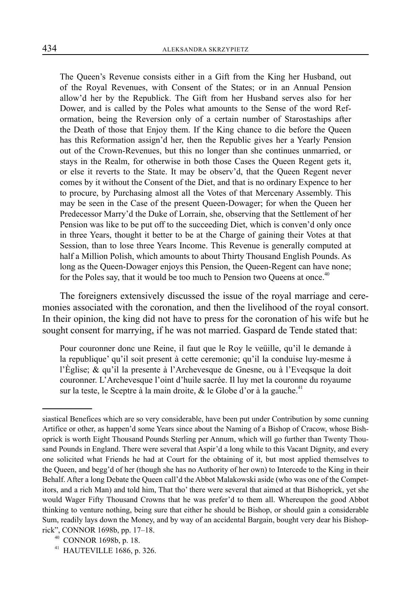The Queen's Revenue consists either in a Gift from the King her Husband, out of the Royal Revenues, with Consent of the States; or in an Annual Pension allow'd her by the Republick. The Gift from her Husband serves also for her Dower, and is called by the Poles what amounts to the Sense of the word Reformation, being the Reversion only of a certain number of Starostaships after the Death of those that Enjoy them. If the King chance to die before the Queen has this Reformation assign'd her, then the Republic gives her a Yearly Pension out of the Crown-Revenues, but this no longer than she continues unmarried, or stays in the Realm, for otherwise in both those Cases the Queen Regent gets it, or else it reverts to the State. It may be observ'd, that the Queen Regent never comes by it without the Consent of the Diet, and that is no ordinary Expence to her to procure, by Purchasing almost all the Votes of that Mercenary Assembly. This may be seen in the Case of the present Queen-Dowager; for when the Queen her Predecessor Marry'd the Duke of Lorrain, she, observing that the Settlement of her Pension was like to be put off to the succeeding Diet, which is conven'd only once in three Years, thought it better to be at the Charge of gaining their Votes at that Session, than to lose three Years Income. This Revenue is generally computed at half a Million Polish, which amounts to about Thirty Thousand English Pounds. As long as the Queen-Dowager enjoys this Pension, the Queen-Regent can have none; for the Poles say, that it would be too much to Pension two Queens at once.<sup>40</sup>

The foreigners extensively discussed the issue of the royal marriage and ceremonies associated with the coronation, and then the livelihood of the royal consort. In their opinion, the king did not have to press for the coronation of his wife but he sought consent for marrying, if he was not married. Gaspard de Tende stated that:

Pour couronner donc une Reine, il faut que le Roy le veüille, qu'il le demande à la republique' qu'il soit present à cette ceremonie; qu'il la conduise luy-mesme à l'Èglise; & qu'il la presente à l'Archevesque de Gnesne, ou à l'Eveqsque la doit couronner. L'Archevesque l'oint d'huile sacrée. Il luy met la couronne du royaume sur la teste, le Sceptre à la main droite,  $\&$  le Globe d'or à la gauche.<sup>41</sup>

siastical Benefices which are so very considerable, have been put under Contribution by some cunning Artifice or other, as happen'd some Years since about the Naming of a Bishop of Cracow, whose Bishoprick is worth Eight Thousand Pounds Sterling per Annum, which will go further than Twenty Thousand Pounds in England. There were several that Aspir'd a long while to this Vacant Dignity, and every one solicited what Friends he had at Court for the obtaining of it, but most applied themselves to the Queen, and begg'd of her (though she has no Authority of her own) to Intercede to the King in their Behalf. After a long Debate the Queen call'd the Abbot Malakowski aside (who was one of the Competitors, and a rich Man) and told him, That tho' there were several that aimed at that Bishoprick, yet she would Wager Fifty Thousand Crowns that he was prefer'd to them all. Whereupon the good Abbot thinking to venture nothing, being sure that either he should be Bishop, or should gain a considerable Sum, readily lays down the Money, and by way of an accidental Bargain, bought very dear his Bishoprick", CONNOR 1698b, pp. 17–18.

 $^{40}$  CONNOR 1698b, p. 18.<br> $^{41}$  HAUTEVILLE 1686, p. 326.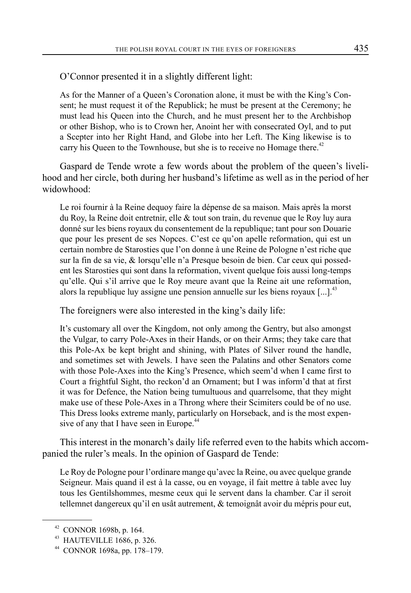O'Connor presented it in a slightly different light:

As for the Manner of a Queen's Coronation alone, it must be with the King's Consent; he must request it of the Republick; he must be present at the Ceremony; he must lead his Queen into the Church, and he must present her to the Archbishop or other Bishop, who is to Crown her, Anoint her with consecrated Oyl, and to put a Scepter into her Right Hand, and Globe into her Left. The King likewise is to carry his Queen to the Townhouse, but she is to receive no Homage there.<sup>42</sup>

Gaspard de Tende wrote a few words about the problem of the queen's livelihood and her circle, both during her husband's lifetime as well as in the period of her widowhood:

Le roi fournir à la Reine dequoy faire la dépense de sa maison. Mais après la morst du Roy, la Reine doit entretnir, elle & tout son train, du revenue que le Roy luy aura donné sur les biens royaux du consentement de la republique; tant pour son Douarie que pour les present de ses Nopces. C'est ce qu'on apelle reformation, qui est un certain nombre de Starosties que l'on donne à une Reine de Pologne n'est riche que sur la fin de sa vie, & lorsqu'elle n'a Presque besoin de bien. Car ceux qui possedent les Starosties qui sont dans la reformation, vivent quelque fois aussi long-temps qu'elle. Qui s'il arrive que le Roy meure avant que la Reine ait une reformation, alors la republique luy assigne une pension annuelle sur les biens royaux  $\left[ \ldots \right]$ .<sup>43</sup>

The foreigners were also interested in the king's daily life:

It's customary all over the Kingdom, not only among the Gentry, but also amongst the Vulgar, to carry Pole-Axes in their Hands, or on their Arms; they take care that this Pole-Ax be kept bright and shining, with Plates of Silver round the handle, and sometimes set with Jewels. I have seen the Palatins and other Senators come with those Pole-Axes into the King's Presence, which seem'd when I came first to Court a frightful Sight, tho reckon'd an Ornament; but I was inform'd that at first it was for Defence, the Nation being tumultuous and quarrelsome, that they might make use of these Pole-Axes in a Throng where their Scimiters could be of no use. This Dress looks extreme manly, particularly on Horseback, and is the most expensive of any that I have seen in Europe.<sup>44</sup>

This interest in the monarch's daily life referred even to the habits which accompanied the ruler's meals. In the opinion of Gaspard de Tende:

Le Roy de Pologne pour l'ordinare mange qu'avec la Reine, ou avec quelque grande Seigneur. Mais quand il est à la casse, ou en voyage, il fait mettre à table avec luy tous les Gentilshommes, mesme ceux qui le servent dans la chamber. Car il seroit tellemnet dangereux qu'il en usât autrement, & temoignât avoir du mépris pour eut,

<sup>42</sup> CONNOR 1698b, p. 164.

<sup>43</sup> HAUTEVILLE 1686, p. 326.

<sup>44</sup> CONNOR 1698a, pp. 178–179.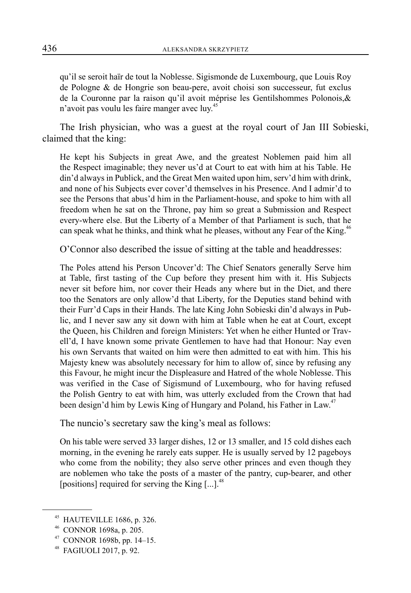qu'il se seroit haïr de tout la Noblesse. Sigismonde de Luxembourg, que Louis Roy de Pologne & de Hongrie son beau-pere, avoit choisi son successeur, fut exclus de la Couronne par la raison qu'il avoit méprise les Gentilshommes Polonois,& n'avoit pas voulu les faire manger avec luy.<sup>45</sup>

The Irish physician, who was a guest at the royal court of Jan III Sobieski, claimed that the king:

He kept his Subjects in great Awe, and the greatest Noblemen paid him all the Respect imaginable; they never us'd at Court to eat with him at his Table. He din'd always in Publick, and the Great Men waited upon him, serv'd him with drink, and none of his Subjects ever cover'd themselves in his Presence. And I admir'd to see the Persons that abus'd him in the Parliament-house, and spoke to him with all freedom when he sat on the Throne, pay him so great a Submission and Respect every-where else. But the Liberty of a Member of that Parliament is such, that he can speak what he thinks, and think what he pleases, without any Fear of the King.<sup>46</sup>

O'Connor also described the issue of sitting at the table and headdresses:

The Poles attend his Person Uncover'd: The Chief Senators generally Serve him at Table, first tasting of the Cup before they present him with it. His Subjects never sit before him, nor cover their Heads any where but in the Diet, and there too the Senators are only allow'd that Liberty, for the Deputies stand behind with their Furr'd Caps in their Hands. The late King John Sobieski din'd always in Public, and I never saw any sit down with him at Table when he eat at Court, except the Queen, his Children and foreign Ministers: Yet when he either Hunted or Travell'd, I have known some private Gentlemen to have had that Honour: Nay even his own Servants that waited on him were then admitted to eat with him. This his Majesty knew was absolutely necessary for him to allow of, since by refusing any this Favour, he might incur the Displeasure and Hatred of the whole Noblesse. This was verified in the Case of Sigismund of Luxembourg, who for having refused the Polish Gentry to eat with him, was utterly excluded from the Crown that had been design'd him by Lewis King of Hungary and Poland, his Father in Law.<sup>47</sup>

The nuncio's secretary saw the king's meal as follows:

On his table were served 33 larger dishes, 12 or 13 smaller, and 15 cold dishes each morning, in the evening he rarely eats supper. He is usually served by 12 pageboys who come from the nobility; they also serve other princes and even though they are noblemen who take the posts of a master of the pantry, cup-bearer, and other [positions] required for serving the King  $[...]^{48}$ .

<sup>45</sup> HAUTEVILLE 1686, p. 326.

CONNOR 1698a, p. 205.

 $47$  CONNOR 1698b, pp. 14–15.

<sup>48</sup> FAGIUOLI 2017, p. 92.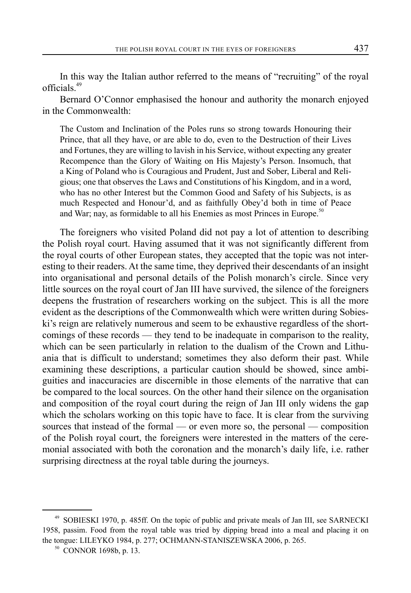In this way the Italian author referred to the means of "recruiting" of the royal officials.49

Bernard O'Connor emphasised the honour and authority the monarch enjoyed in the Commonwealth:

The Custom and Inclination of the Poles runs so strong towards Honouring their Prince, that all they have, or are able to do, even to the Destruction of their Lives and Fortunes, they are willing to lavish in his Service, without expecting any greater Recompence than the Glory of Waiting on His Majesty's Person. Insomuch, that a King of Poland who is Couragious and Prudent, Just and Sober, Liberal and Religious; one that observes the Laws and Constitutions of his Kingdom, and in a word, who has no other Interest but the Common Good and Safety of his Subjects, is as much Respected and Honour'd, and as faithfully Obey'd both in time of Peace and War; nay, as formidable to all his Enemies as most Princes in Europe.<sup>50</sup>

The foreigners who visited Poland did not pay a lot of attention to describing the Polish royal court. Having assumed that it was not significantly different from the royal courts of other European states, they accepted that the topic was not interesting to their readers. At the same time, they deprived their descendants of an insight into organisational and personal details of the Polish monarch's circle. Since very little sources on the royal court of Jan III have survived, the silence of the foreigners deepens the frustration of researchers working on the subject. This is all the more evident as the descriptions of the Commonwealth which were written during Sobieski's reign are relatively numerous and seem to be exhaustive regardless of the shortcomings of these records — they tend to be inadequate in comparison to the reality, which can be seen particularly in relation to the dualism of the Crown and Lithuania that is difficult to understand; sometimes they also deform their past. While examining these descriptions, a particular caution should be showed, since ambiguities and inaccuracies are discernible in those elements of the narrative that can be compared to the local sources. On the other hand their silence on the organisation and composition of the royal court during the reign of Jan III only widens the gap which the scholars working on this topic have to face. It is clear from the surviving sources that instead of the formal — or even more so, the personal — composition of the Polish royal court, the foreigners were interested in the matters of the ceremonial associated with both the coronation and the monarch's daily life, i.e. rather surprising directness at the royal table during the journeys.

<sup>49</sup> SOBIESKI 1970, p. 485ff. On the topic of public and private meals of Jan III, see SARNECKI 1958, passim. Food from the royal table was tried by dipping bread into a meal and placing it on the tongue: LILEYKO 1984, p. 277; OCHMANN-STANISZEWSKA 2006, p. 265.

<sup>50</sup> CONNOR 1698b, p. 13.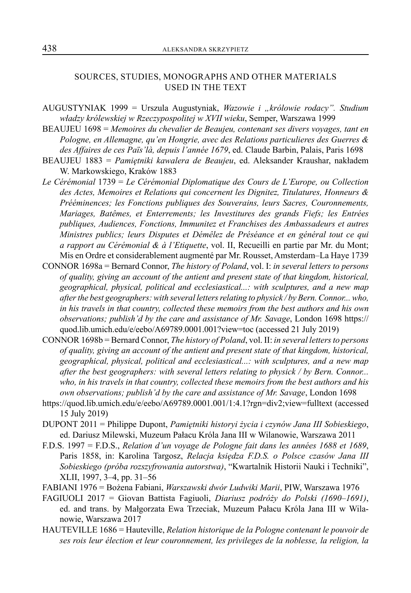## SOURCES, STUDIES, MONOGRAPHS AND OTHER MATERIALS USED IN THE TEXT

- AUGUSTYNIAK 1999 = Urszula Augustyniak, *Wazowie i "królowie rodacy". Studium władzy królewskiej w Rzeczypospolitej w XVII wieku*, Semper, Warszawa 1999
- BEAUJEU 1698 = *Memoires du chevalier de Beaujeu, contenant ses divers voyages, tant en Pologne, en Allemagne, qu'en Hongrie, avec des Relations particulieres des Guerres & des Affaires de ces Païs'là, depuis l'année 1679*, ed. Claude Barbin, Palais, Paris 1698
- BEAUJEU 1883 = *Pamiętniki kawalera de Beaujeu*, ed. Aleksander Kraushar, nakładem W. Markowskiego, Kraków 1883
- *Le Cérémonial* 1739 = *Le Cérémonial Diplomatique des Cours de L'Europe, ou Collection des Actes, Memoires et Relations qui concernent les Dignitez, Titulatures, Honneurs & Prééminences; les Fonctions publiques des Souverains, leurs Sacres, Couronnements, Mariages, Batêmes, et Enterrements; les Investitures des grands Fiefs; les Entrées publiques, Audiences, Fonctions, Immunitez et Franchises des Ambassadeurs et autres Ministres publics; leurs Disputes et Démêlez de Préséance et en général tout ce qui a rapport au Cérémonial & à l'Etiquette*, vol. II, Recueilli en partie par Mr. du Mont; Mis en Ordre et considerablement augmenté par Mr. Rousset, Amsterdam–La Haye 1739
- CONNOR 1698a = Bernard Connor, *The history of Poland*, vol. I: *in several letters to persons of quality, giving an account of the antient and present state of that kingdom, historical, geographical, physical, political and ecclesiastical...: with sculptures, and a new map after the best geographers: with several letters relating to physick / by Bern. Connor... who, in his travels in that country, collected these memoirs from the best authors and his own observations; publish'd by the care and assistance of Mr. Savage*, London 1698 https:// quod.lib.umich.edu/e/eebo/A69789.0001.001?view=toc (accessed 21 July 2019)
- CONNOR 1698b = Bernard Connor, *The history of Poland*, vol. II: *in several letters to persons of quality, giving an account of the antient and present state of that kingdom, historical, geographical, physical, political and ecclesiastical...: with sculptures, and a new map after the best geographers: with several letters relating to physick / by Bern. Connor... who, in his travels in that country, collected these memoirs from the best authors and his own observations; publish'd by the care and assistance of Mr. Savage*, London 1698
- https://quod.lib.umich.edu/e/eebo/A69789.0001.001/1:4.1?rgn=div2;view=fulltext (accessed 15 July 2019)
- DUPONT 2011 = Philippe Dupont, *Pamiętniki historyi życia i czynów Jana III Sobieskiego*, ed. Dariusz Milewski, Muzeum Pałacu Króla Jana III w Wilanowie, Warszawa 2011
- F.D.S. 1997 = F.D.S., *Relation d'un voyage de Pologne fait dans les années 1688 et 1689*, Paris 1858, in: Karolina Targosz, *Relacja księdza F.D.S. o Polsce czasów Jana III Sobieskiego (próba rozszyfrowania autorstwa)*, "Kwartalnik Historii Nauki i Techniki", XLII, 1997, 3–4, pp. 31–56
- FABIANI 1976 = Bożena Fabiani, *Warszawski dwór Ludwiki Marii*, PIW, Warszawa 1976
- FAGIUOLI 2017 = Giovan Battista Fagiuoli, *Diariusz podróży do Polski (1690–1691)*, ed. and trans. by Małgorzata Ewa Trzeciak, Muzeum Pałacu Króla Jana III w Wilanowie, Warszawa 2017
- HAUTEVILLE 1686 = Hauteville, *Relation historique de la Pologne contenant le pouvoir de ses rois leur élection et leur couronnement, les privileges de la noblesse, la religion, la*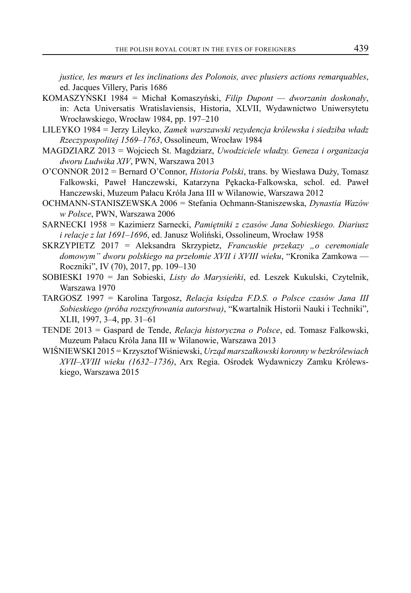*justice, les mœurs et les inclinations des Polonois, avec plusiers actions remarquables*, ed. Jacques Villery, Paris 1686

- KOMASZYŃSKI 1984 = Michał Komaszyński, *Filip Dupont dworzanin doskonały*, in: Acta Universatis Wratislaviensis, Historia, XLVII, Wydawnictwo Uniwersytetu Wrocławskiego, Wrocław 1984, pp. 197–210
- LILEYKO 1984 = Jerzy Lileyko, *Zamek warszawski rezydencja królewska i siedziba władz Rzeczypospolitej 1569–1763*, Ossolineum, Wrocław 1984
- MAGDZIARZ 2013 = Wojciech St. Magdziarz, *Uwodziciele władzy. Geneza i organizacja dworu Ludwika XIV*, PWN, Warszawa 2013
- O'CONNOR 2012 = Bernard O'Connor, *Historia Polski*, trans. by Wiesława Duży, Tomasz Falkowski, Paweł Hanczewski, Katarzyna Pękacka-Falkowska, schol. ed. Paweł Hanczewski, Muzeum Pałacu Króla Jana III w Wilanowie, Warszawa 2012
- OCHMANN-STANISZEWSKA 2006 = Stefania Ochmann-Staniszewska, *Dynastia Wazów w Polsce*, PWN, Warszawa 2006
- SARNECKI 1958 = Kazimierz Sarnecki, *Pamiętniki z czasów Jana Sobieskiego. Diariusz i relacje z lat 1691–1696*, ed. Janusz Woliński, Ossolineum, Wrocław 1958
- SKRZYPIETZ 2017 = Aleksandra Skrzypietz, *Francuskie przekazy "o ceremoniale domowym" dworu polskiego na przełomie XVII i XVIII wieku*, "Kronika Zamkowa — Roczniki", IV (70), 2017, pp. 109–130
- SOBIESKI 1970 = Jan Sobieski, *Listy do Marysieńki*, ed. Leszek Kukulski, Czytelnik, Warszawa 1970
- TARGOSZ 1997 = Karolina Targosz, *Relacja księdza F.D.S. o Polsce czasów Jana III Sobieskiego (próba rozszyfrowania autorstwa)*, "Kwartalnik Historii Nauki i Techniki", XLII, 1997, 3–4, pp. 31–61
- TENDE 2013 = Gaspard de Tende, *Relacja historyczna o Polsce*, ed. Tomasz Falkowski, Muzeum Pałacu Króla Jana III w Wilanowie, Warszawa 2013
- WIŚNIEWSKI 2015 = Krzysztof Wiśniewski, *Urząd marszałkowski koronny w bezkrólewiach XVII–XVIII wieku (1632–1736)*, Arx Regia. Ośrodek Wydawniczy Zamku Królewskiego, Warszawa 2015